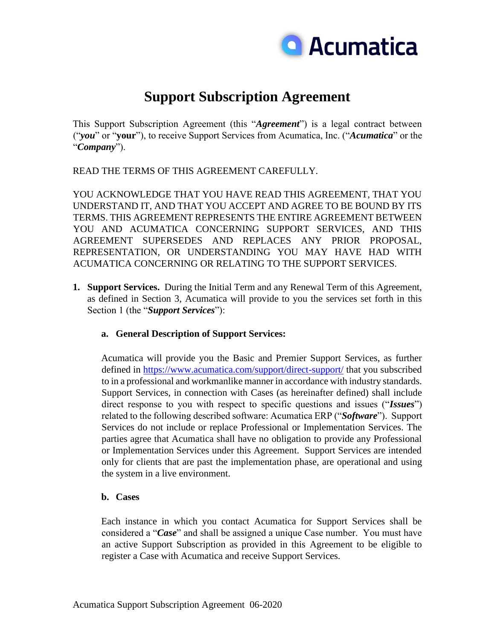

# **Support Subscription Agreement**

This Support Subscription Agreement (this "*Agreement*") is a legal contract between ("*you*" or "**your**"), to receive Support Services from Acumatica, Inc. ("*Acumatica*" or the "*Company*").

READ THE TERMS OF THIS AGREEMENT CAREFULLY.

YOU ACKNOWLEDGE THAT YOU HAVE READ THIS AGREEMENT, THAT YOU UNDERSTAND IT, AND THAT YOU ACCEPT AND AGREE TO BE BOUND BY ITS TERMS. THIS AGREEMENT REPRESENTS THE ENTIRE AGREEMENT BETWEEN YOU AND ACUMATICA CONCERNING SUPPORT SERVICES, AND THIS AGREEMENT SUPERSEDES AND REPLACES ANY PRIOR PROPOSAL, REPRESENTATION, OR UNDERSTANDING YOU MAY HAVE HAD WITH ACUMATICA CONCERNING OR RELATING TO THE SUPPORT SERVICES.

**1. Support Services.** During the Initial Term and any Renewal Term of this Agreement, as defined in Section 3, Acumatica will provide to you the services set forth in this Section 1 (the "*Support Services*"):

## **a. General Description of Support Services:**

Acumatica will provide you the Basic and Premier Support Services, as further defined in<https://www.acumatica.com/support/direct-support/> that you subscribed to in a professional and workmanlike manner in accordance with industry standards. Support Services, in connection with Cases (as hereinafter defined) shall include direct response to you with respect to specific questions and issues ("*Issues*") related to the following described software: Acumatica ERP ("*Software*"). Support Services do not include or replace Professional or Implementation Services. The parties agree that Acumatica shall have no obligation to provide any Professional or Implementation Services under this Agreement. Support Services are intended only for clients that are past the implementation phase, are operational and using the system in a live environment.

## **b. Cases**

Each instance in which you contact Acumatica for Support Services shall be considered a "*Case*" and shall be assigned a unique Case number. You must have an active Support Subscription as provided in this Agreement to be eligible to register a Case with Acumatica and receive Support Services.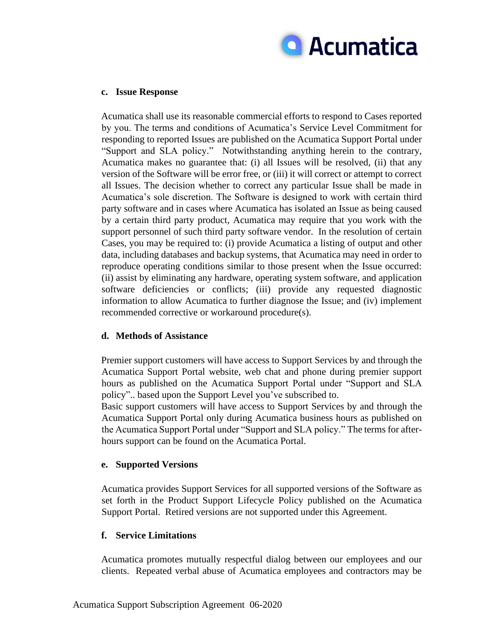

#### **c. Issue Response**

Acumatica shall use its reasonable commercial efforts to respond to Cases reported by you. The terms and conditions of Acumatica's Service Level Commitment for responding to reported Issues are published on the Acumatica Support Portal under "Support and SLA policy." Notwithstanding anything herein to the contrary, Acumatica makes no guarantee that: (i) all Issues will be resolved, (ii) that any version of the Software will be error free, or (iii) it will correct or attempt to correct all Issues. The decision whether to correct any particular Issue shall be made in Acumatica's sole discretion. The Software is designed to work with certain third party software and in cases where Acumatica has isolated an Issue as being caused by a certain third party product, Acumatica may require that you work with the support personnel of such third party software vendor. In the resolution of certain Cases, you may be required to: (i) provide Acumatica a listing of output and other data, including databases and backup systems, that Acumatica may need in order to reproduce operating conditions similar to those present when the Issue occurred: (ii) assist by eliminating any hardware, operating system software, and application software deficiencies or conflicts; (iii) provide any requested diagnostic information to allow Acumatica to further diagnose the Issue; and (iv) implement recommended corrective or workaround procedure(s).

## **d. Methods of Assistance**

Premier support customers will have access to Support Services by and through the Acumatica Support Portal website, web chat and phone during premier support hours as published on the Acumatica Support Portal under "Support and SLA policy".. based upon the Support Level you've subscribed to.

Basic support customers will have access to Support Services by and through the Acumatica Support Portal only during Acumatica business hours as published on the Acumatica Support Portal under "Support and SLA policy." The terms for afterhours support can be found on the Acumatica Portal.

## **e. Supported Versions**

Acumatica provides Support Services for all supported versions of the Software as set forth in the Product Support Lifecycle Policy published on the Acumatica Support Portal. Retired versions are not supported under this Agreement.

## **f. Service Limitations**

Acumatica promotes mutually respectful dialog between our employees and our clients. Repeated verbal abuse of Acumatica employees and contractors may be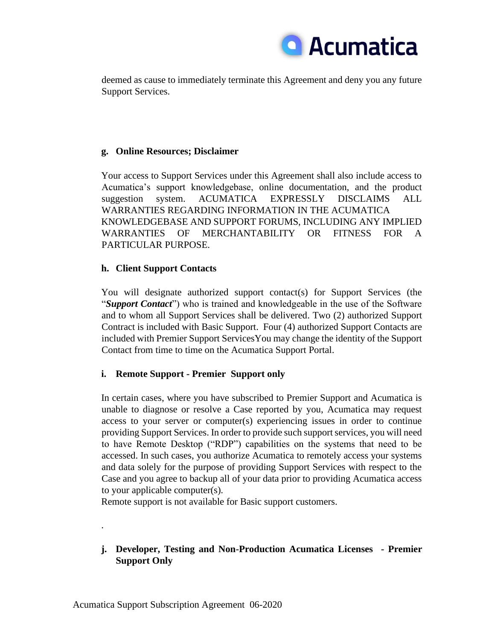

deemed as cause to immediately terminate this Agreement and deny you any future Support Services.

## **g. Online Resources; Disclaimer**

Your access to Support Services under this Agreement shall also include access to Acumatica's support knowledgebase, online documentation, and the product suggestion system. ACUMATICA EXPRESSLY DISCLAIMS ALL WARRANTIES REGARDING INFORMATION IN THE ACUMATICA KNOWLEDGEBASE AND SUPPORT FORUMS, INCLUDING ANY IMPLIED WARRANTIES OF MERCHANTABILITY OR FITNESS FOR A PARTICULAR PURPOSE.

## **h. Client Support Contacts**

You will designate authorized support contact(s) for Support Services (the "*Support Contact*") who is trained and knowledgeable in the use of the Software and to whom all Support Services shall be delivered. Two (2) authorized Support Contract is included with Basic Support. Four (4) authorized Support Contacts are included with Premier Support ServicesYou may change the identity of the Support Contact from time to time on the Acumatica Support Portal.

# **i. Remote Support - Premier Support only**

In certain cases, where you have subscribed to Premier Support and Acumatica is unable to diagnose or resolve a Case reported by you, Acumatica may request access to your server or computer(s) experiencing issues in order to continue providing Support Services. In order to provide such support services, you will need to have Remote Desktop ("RDP") capabilities on the systems that need to be accessed. In such cases, you authorize Acumatica to remotely access your systems and data solely for the purpose of providing Support Services with respect to the Case and you agree to backup all of your data prior to providing Acumatica access to your applicable computer(s).

Remote support is not available for Basic support customers.

# **j. Developer, Testing and Non-Production Acumatica Licenses - Premier Support Only**

.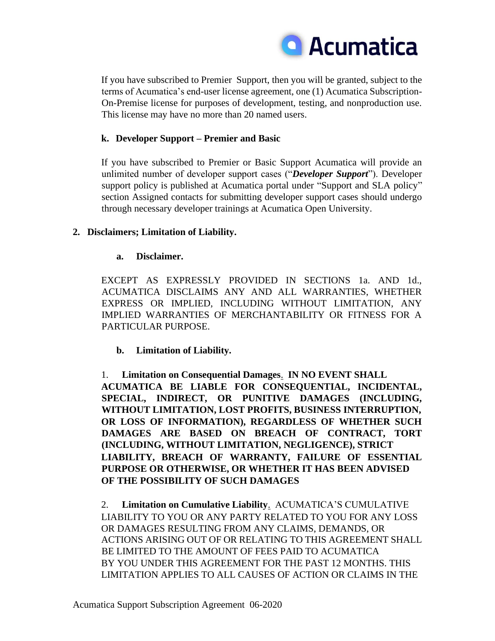

If you have subscribed to Premier Support, then you will be granted, subject to the terms of Acumatica's end-user license agreement, one (1) Acumatica Subscription-On-Premise license for purposes of development, testing, and nonproduction use. This license may have no more than 20 named users.

## **k. Developer Support – Premier and Basic**

If you have subscribed to Premier or Basic Support Acumatica will provide an unlimited number of developer support cases ("*Developer Support*"). Developer support policy is published at Acumatica portal under "Support and SLA policy" section Assigned contacts for submitting developer support cases should undergo through necessary developer trainings at Acumatica Open University.

# **2. Disclaimers; Limitation of Liability.**

## **a. Disclaimer.**

EXCEPT AS EXPRESSLY PROVIDED IN SECTIONS 1a. AND 1d., ACUMATICA DISCLAIMS ANY AND ALL WARRANTIES, WHETHER EXPRESS OR IMPLIED, INCLUDING WITHOUT LIMITATION, ANY IMPLIED WARRANTIES OF MERCHANTABILITY OR FITNESS FOR A PARTICULAR PURPOSE.

# **b. Limitation of Liability.**

1. **Limitation on Consequential Damages**. **IN NO EVENT SHALL ACUMATICA BE LIABLE FOR CONSEQUENTIAL, INCIDENTAL, SPECIAL, INDIRECT, OR PUNITIVE DAMAGES (INCLUDING, WITHOUT LIMITATION, LOST PROFITS, BUSINESS INTERRUPTION, OR LOSS OF INFORMATION), REGARDLESS OF WHETHER SUCH DAMAGES ARE BASED ON BREACH OF CONTRACT, TORT (INCLUDING, WITHOUT LIMITATION, NEGLIGENCE), STRICT LIABILITY, BREACH OF WARRANTY, FAILURE OF ESSENTIAL PURPOSE OR OTHERWISE, OR WHETHER IT HAS BEEN ADVISED OF THE POSSIBILITY OF SUCH DAMAGES** 

2. **Limitation on Cumulative Liability**. ACUMATICA'S CUMULATIVE LIABILITY TO YOU OR ANY PARTY RELATED TO YOU FOR ANY LOSS OR DAMAGES RESULTING FROM ANY CLAIMS, DEMANDS, OR ACTIONS ARISING OUT OF OR RELATING TO THIS AGREEMENT SHALL BE LIMITED TO THE AMOUNT OF FEES PAID TO ACUMATICA BY YOU UNDER THIS AGREEMENT FOR THE PAST 12 MONTHS. THIS LIMITATION APPLIES TO ALL CAUSES OF ACTION OR CLAIMS IN THE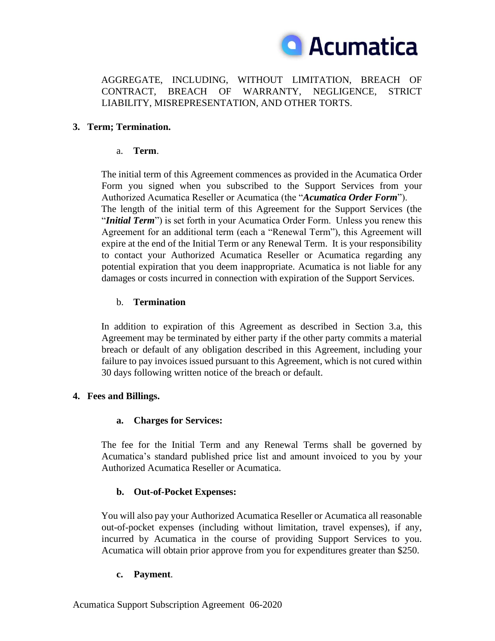

AGGREGATE, INCLUDING, WITHOUT LIMITATION, BREACH OF CONTRACT, BREACH OF WARRANTY, NEGLIGENCE, STRICT LIABILITY, MISREPRESENTATION, AND OTHER TORTS.

## **3. Term; Termination.**

## a. **Term**.

The initial term of this Agreement commences as provided in the Acumatica Order Form you signed when you subscribed to the Support Services from your Authorized Acumatica Reseller or Acumatica (the "*Acumatica Order Form*"). The length of the initial term of this Agreement for the Support Services (the "*Initial Term*") is set forth in your Acumatica Order Form. Unless you renew this Agreement for an additional term (each a "Renewal Term"), this Agreement will expire at the end of the Initial Term or any Renewal Term. It is your responsibility to contact your Authorized Acumatica Reseller or Acumatica regarding any potential expiration that you deem inappropriate. Acumatica is not liable for any damages or costs incurred in connection with expiration of the Support Services.

## b. **Termination**

In addition to expiration of this Agreement as described in Section 3.a, this Agreement may be terminated by either party if the other party commits a material breach or default of any obligation described in this Agreement, including your failure to pay invoices issued pursuant to this Agreement, which is not cured within 30 days following written notice of the breach or default.

## **4. Fees and Billings.**

# **a. Charges for Services:**

The fee for the Initial Term and any Renewal Terms shall be governed by Acumatica's standard published price list and amount invoiced to you by your Authorized Acumatica Reseller or Acumatica.

# **b. Out-of-Pocket Expenses:**

You will also pay your Authorized Acumatica Reseller or Acumatica all reasonable out-of-pocket expenses (including without limitation, travel expenses), if any, incurred by Acumatica in the course of providing Support Services to you. Acumatica will obtain prior approve from you for expenditures greater than \$250.

## **c. Payment**.